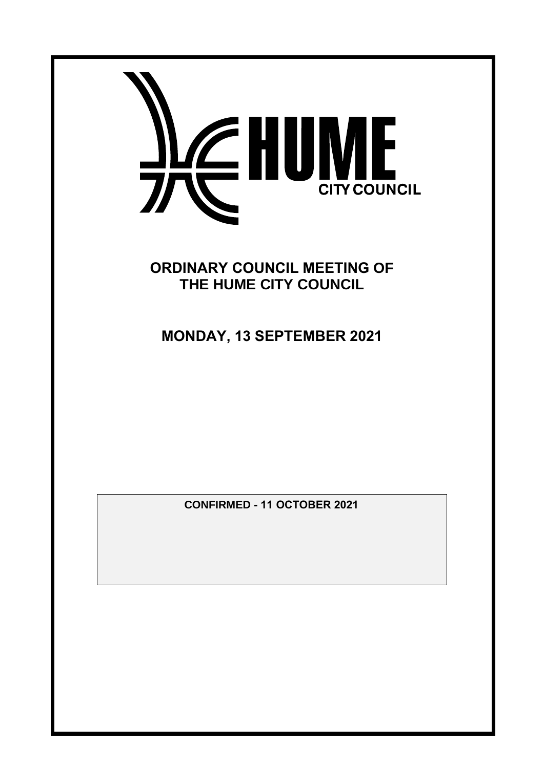

**ORDINARY COUNCIL MEETING OF THE HUME CITY COUNCIL**

**MONDAY, 13 SEPTEMBER 2021**

**CONFIRMED - 11 OCTOBER 2021**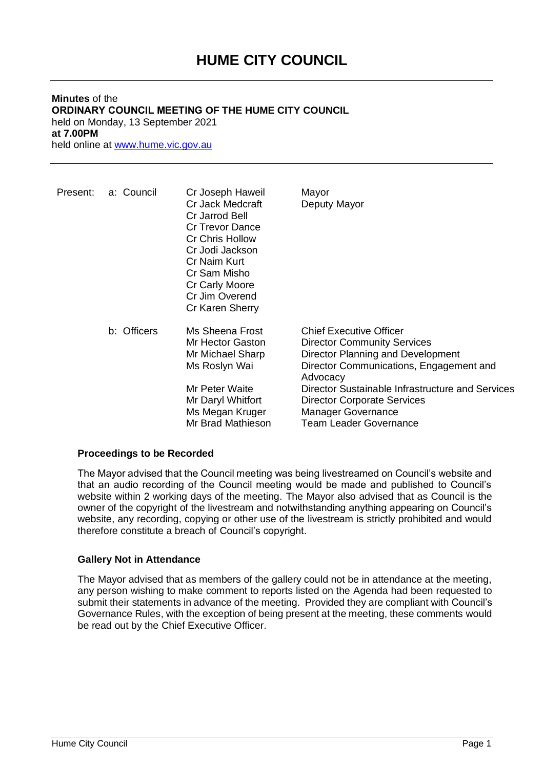## **HUME CITY COUNCIL**

## **Minutes** of the **ORDINARY COUNCIL MEETING OF THE HUME CITY COUNCIL** held on Monday, 13 September 2021 **at 7.00PM** held online at [www.hume.vic.gov.au](http://www.hume.vic.gov.au/)

| Present: | a: Council  | Cr Joseph Haweil<br>Cr Jack Medcraft<br>Cr Jarrod Bell<br><b>Cr Trevor Dance</b><br><b>Cr Chris Hollow</b><br>Cr Jodi Jackson<br>Cr Naim Kurt<br>Cr Sam Misho<br>Cr Carly Moore<br>Cr Jim Overend<br>Cr Karen Sherry | Mayor<br>Deputy Mayor                                                                                                                                                                                                                                                                                                    |
|----------|-------------|----------------------------------------------------------------------------------------------------------------------------------------------------------------------------------------------------------------------|--------------------------------------------------------------------------------------------------------------------------------------------------------------------------------------------------------------------------------------------------------------------------------------------------------------------------|
|          | b: Officers | Ms Sheena Frost<br>Mr Hector Gaston<br>Mr Michael Sharp<br>Ms Roslyn Wai<br>Mr Peter Waite<br>Mr Daryl Whitfort<br>Ms Megan Kruger<br>Mr Brad Mathieson                                                              | <b>Chief Executive Officer</b><br><b>Director Community Services</b><br>Director Planning and Development<br>Director Communications, Engagement and<br>Advocacy<br>Director Sustainable Infrastructure and Services<br><b>Director Corporate Services</b><br><b>Manager Governance</b><br><b>Team Leader Governance</b> |

## **Proceedings to be Recorded**

The Mayor advised that the Council meeting was being livestreamed on Council's website and that an audio recording of the Council meeting would be made and published to Council's website within 2 working days of the meeting. The Mayor also advised that as Council is the owner of the copyright of the livestream and notwithstanding anything appearing on Council's website, any recording, copying or other use of the livestream is strictly prohibited and would therefore constitute a breach of Council's copyright.

## **Gallery Not in Attendance**

The Mayor advised that as members of the gallery could not be in attendance at the meeting, any person wishing to make comment to reports listed on the Agenda had been requested to submit their statements in advance of the meeting. Provided they are compliant with Council's Governance Rules, with the exception of being present at the meeting, these comments would be read out by the Chief Executive Officer.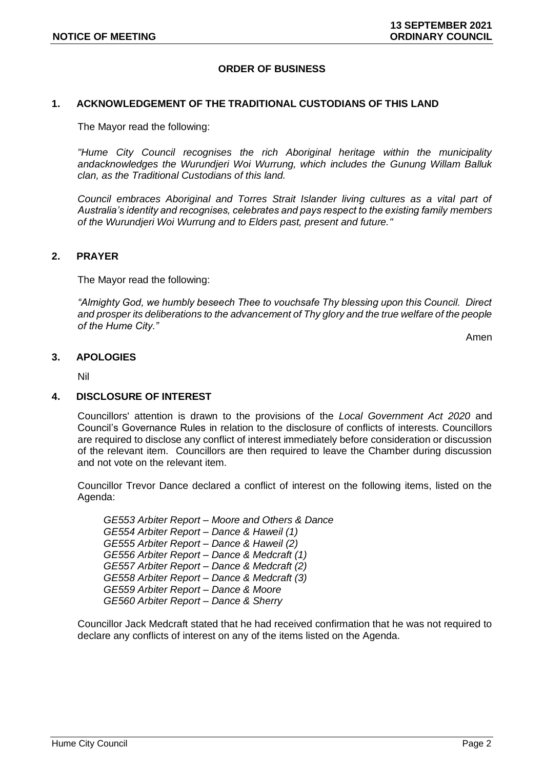## **ORDER OF BUSINESS**

#### **1. ACKNOWLEDGEMENT OF THE TRADITIONAL CUSTODIANS OF THIS LAND**

The Mayor read the following:

*"Hume City Council recognises the rich Aboriginal heritage within the municipality andacknowledges the Wurundjeri Woi Wurrung, which includes the Gunung Willam Balluk clan, as the Traditional Custodians of this land.*

*Council embraces Aboriginal and Torres Strait Islander living cultures as a vital part of Australia's identity and recognises, celebrates and pays respect to the existing family members of the Wurundjeri Woi Wurrung and to Elders past, present and future."*

#### **2. PRAYER**

The Mayor read the following:

*"Almighty God, we humbly beseech Thee to vouchsafe Thy blessing upon this Council. Direct and prosper its deliberations to the advancement of Thy glory and the true welfare of the people of the Hume City."*

Amen

#### **3. APOLOGIES**

Nil

#### **4. DISCLOSURE OF INTEREST**

Councillors' attention is drawn to the provisions of the *Local Government Act 2020* and Council's Governance Rules in relation to the disclosure of conflicts of interests. Councillors are required to disclose any conflict of interest immediately before consideration or discussion of the relevant item. Councillors are then required to leave the Chamber during discussion and not vote on the relevant item.

Councillor Trevor Dance declared a conflict of interest on the following items, listed on the Agenda:

*GE553 Arbiter Report – Moore and Others & Dance GE554 Arbiter Report – Dance & Haweil (1) GE555 Arbiter Report – Dance & Haweil (2) GE556 Arbiter Report – Dance & Medcraft (1) GE557 Arbiter Report – Dance & Medcraft (2) GE558 Arbiter Report – Dance & Medcraft (3) GE559 Arbiter Report – Dance & Moore GE560 Arbiter Report – Dance & Sherry*

Councillor Jack Medcraft stated that he had received confirmation that he was not required to declare any conflicts of interest on any of the items listed on the Agenda.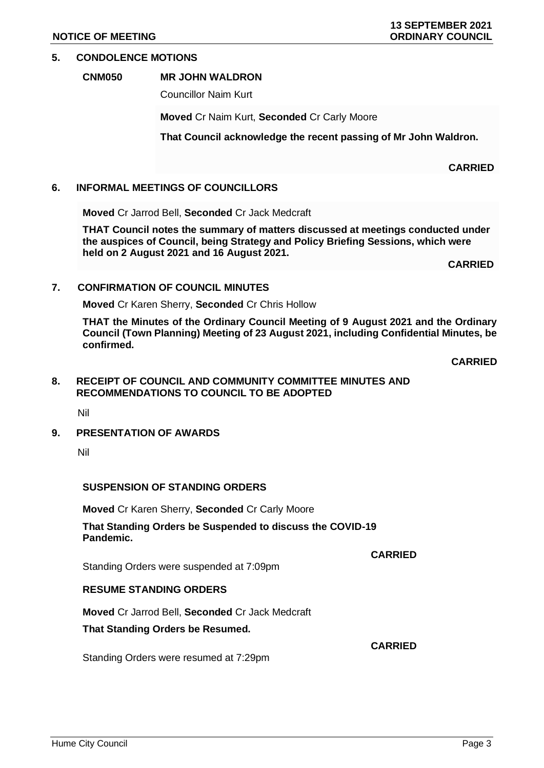## **5. CONDOLENCE MOTIONS**

## **CNM050 MR JOHN WALDRON**

Councillor Naim Kurt

**Moved** Cr Naim Kurt, **Seconded** Cr Carly Moore

**That Council acknowledge the recent passing of Mr John Waldron.**

## **6. INFORMAL MEETINGS OF COUNCILLORS**

**Moved** Cr Jarrod Bell, **Seconded** Cr Jack Medcraft

**THAT Council notes the summary of matters discussed at meetings conducted under the auspices of Council, being Strategy and Policy Briefing Sessions, which were held on 2 August 2021 and 16 August 2021.**

**CARRIED**

**CARRIED**

## **7. CONFIRMATION OF COUNCIL MINUTES**

**Moved** Cr Karen Sherry, **Seconded** Cr Chris Hollow

**THAT the Minutes of the Ordinary Council Meeting of 9 August 2021 and the Ordinary Council (Town Planning) Meeting of 23 August 2021, including Confidential Minutes, be confirmed.**

**CARRIED**

## **8. RECEIPT OF COUNCIL AND COMMUNITY COMMITTEE MINUTES AND RECOMMENDATIONS TO COUNCIL TO BE ADOPTED**

Nil

## **9. PRESENTATION OF AWARDS**

## **SUSPENSION OF STANDING ORDERS**

**Moved** Cr Karen Sherry, **Seconded** Cr Carly Moore

**That Standing Orders be Suspended to discuss the COVID-19 Pandemic.**

Standing Orders were suspended at 7:09pm

## **RESUME STANDING ORDERS**

**Moved** Cr Jarrod Bell, **Seconded** Cr Jack Medcraft

## **That Standing Orders be Resumed.**

Standing Orders were resumed at 7:29pm

**CARRIED**

Nil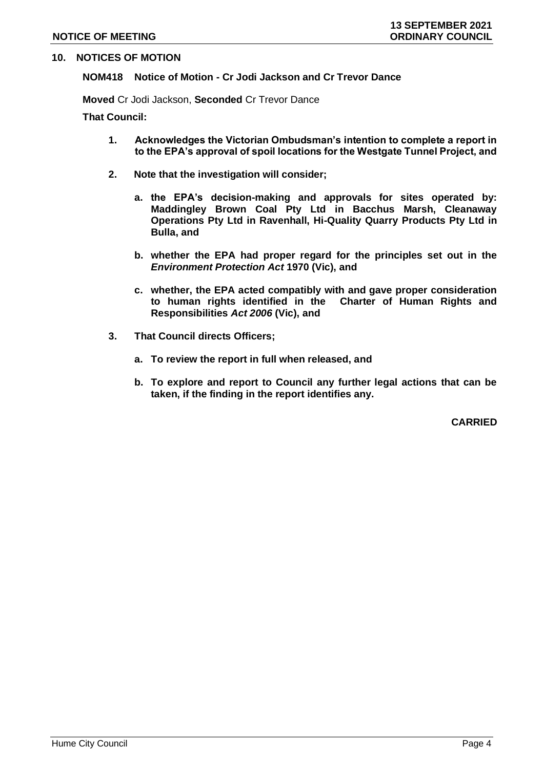## **10. NOTICES OF MOTION**

## **NOM418 Notice of Motion - Cr Jodi Jackson and Cr Trevor Dance**

**Moved** Cr Jodi Jackson, **Seconded** Cr Trevor Dance

**That Council:**

- **1. Acknowledges the Victorian Ombudsman's intention to complete a report in to the EPA's approval of spoil locations for the Westgate Tunnel Project, and**
- **2. Note that the investigation will consider;**
	- **a. the EPA's decision-making and approvals for sites operated by: Maddingley Brown Coal Pty Ltd in Bacchus Marsh, Cleanaway Operations Pty Ltd in Ravenhall, Hi-Quality Quarry Products Pty Ltd in Bulla, and**
	- **b. whether the EPA had proper regard for the principles set out in the**  *Environment Protection Act* **1970 (Vic), and**
	- **c. whether, the EPA acted compatibly with and gave proper consideration to human rights identified in the Charter of Human Rights and Responsibilities** *Act 2006* **(Vic), and**
- **3. That Council directs Officers;**
	- **a. To review the report in full when released, and**
	- **b. To explore and report to Council any further legal actions that can be taken, if the finding in the report identifies any.**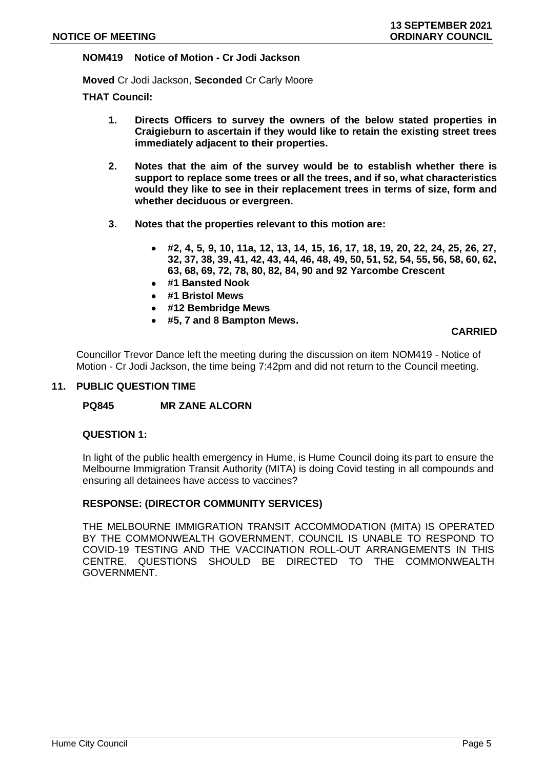## **NOM419 Notice of Motion - Cr Jodi Jackson**

**Moved** Cr Jodi Jackson, **Seconded** Cr Carly Moore

**THAT Council:**

- **1. Directs Officers to survey the owners of the below stated properties in Craigieburn to ascertain if they would like to retain the existing street trees immediately adjacent to their properties.**
- **2. Notes that the aim of the survey would be to establish whether there is support to replace some trees or all the trees, and if so, what characteristics would they like to see in their replacement trees in terms of size, form and whether deciduous or evergreen.**
- **3. Notes that the properties relevant to this motion are:**
	- **#2, 4, 5, 9, 10, 11a, 12, 13, 14, 15, 16, 17, 18, 19, 20, 22, 24, 25, 26, 27, 32, 37, 38, 39, 41, 42, 43, 44, 46, 48, 49, 50, 51, 52, 54, 55, 56, 58, 60, 62, 63, 68, 69, 72, 78, 80, 82, 84, 90 and 92 Yarcombe Crescent**
	- **#1 Bansted Nook**
	- **#1 Bristol Mews**
	- **#12 Bembridge Mews**
	- **#5, 7 and 8 Bampton Mews.**

### **CARRIED**

Councillor Trevor Dance left the meeting during the discussion on item NOM419 - Notice of Motion - Cr Jodi Jackson, the time being 7:42pm and did not return to the Council meeting.

#### **11. PUBLIC QUESTION TIME**

## **PQ845 MR ZANE ALCORN**

#### **QUESTION 1:**

In light of the public health emergency in Hume, is Hume Council doing its part to ensure the Melbourne Immigration Transit Authority (MITA) is doing Covid testing in all compounds and ensuring all detainees have access to vaccines?

#### **RESPONSE: (DIRECTOR COMMUNITY SERVICES)**

THE MELBOURNE IMMIGRATION TRANSIT ACCOMMODATION (MITA) IS OPERATED BY THE COMMONWEALTH GOVERNMENT. COUNCIL IS UNABLE TO RESPOND TO COVID-19 TESTING AND THE VACCINATION ROLL-OUT ARRANGEMENTS IN THIS CENTRE. QUESTIONS SHOULD BE DIRECTED TO THE COMMONWEALTH GOVERNMENT.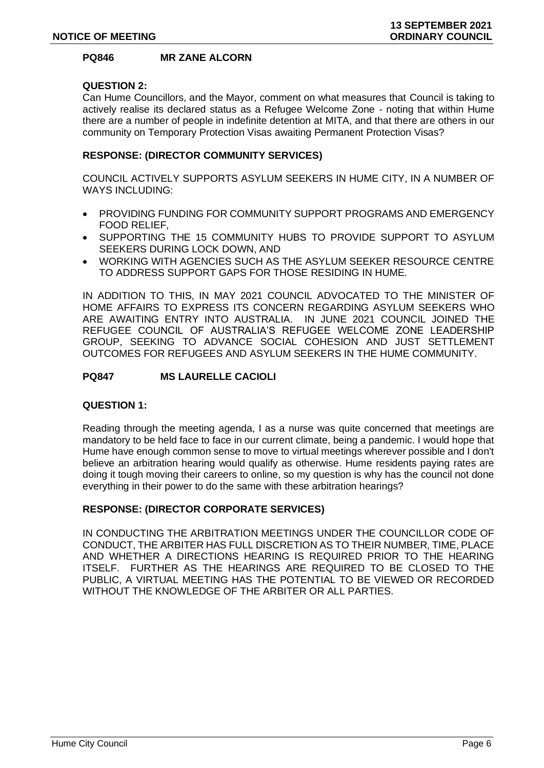## **PQ846 MR ZANE ALCORN**

## **QUESTION 2:**

Can Hume Councillors, and the Mayor, comment on what measures that Council is taking to actively realise its declared status as a Refugee Welcome Zone - noting that within Hume there are a number of people in indefinite detention at MITA, and that there are others in our community on Temporary Protection Visas awaiting Permanent Protection Visas?

## **RESPONSE: (DIRECTOR COMMUNITY SERVICES)**

COUNCIL ACTIVELY SUPPORTS ASYLUM SEEKERS IN HUME CITY, IN A NUMBER OF WAYS INCLUDING:

- PROVIDING FUNDING FOR COMMUNITY SUPPORT PROGRAMS AND EMERGENCY FOOD RELIEF,
- SUPPORTING THE 15 COMMUNITY HUBS TO PROVIDE SUPPORT TO ASYLUM SEEKERS DURING LOCK DOWN, AND
- WORKING WITH AGENCIES SUCH AS THE ASYLUM SEEKER RESOURCE CENTRE TO ADDRESS SUPPORT GAPS FOR THOSE RESIDING IN HUME.

IN ADDITION TO THIS, IN MAY 2021 COUNCIL ADVOCATED TO THE MINISTER OF HOME AFFAIRS TO EXPRESS ITS CONCERN REGARDING ASYLUM SEEKERS WHO ARE AWAITING ENTRY INTO AUSTRALIA. IN JUNE 2021 COUNCIL JOINED THE REFUGEE COUNCIL OF AUSTRALIA'S REFUGEE WELCOME ZONE LEADERSHIP GROUP, SEEKING TO ADVANCE SOCIAL COHESION AND JUST SETTLEMENT OUTCOMES FOR REFUGEES AND ASYLUM SEEKERS IN THE HUME COMMUNITY.

## **PQ847 MS LAURELLE CACIOLI**

## **QUESTION 1:**

Reading through the meeting agenda, I as a nurse was quite concerned that meetings are mandatory to be held face to face in our current climate, being a pandemic. I would hope that Hume have enough common sense to move to virtual meetings wherever possible and I don't believe an arbitration hearing would qualify as otherwise. Hume residents paying rates are doing it tough moving their careers to online, so my question is why has the council not done everything in their power to do the same with these arbitration hearings?

#### **RESPONSE: (DIRECTOR CORPORATE SERVICES)**

IN CONDUCTING THE ARBITRATION MEETINGS UNDER THE COUNCILLOR CODE OF CONDUCT, THE ARBITER HAS FULL DISCRETION AS TO THEIR NUMBER, TIME, PLACE AND WHETHER A DIRECTIONS HEARING IS REQUIRED PRIOR TO THE HEARING ITSELF. FURTHER AS THE HEARINGS ARE REQUIRED TO BE CLOSED TO THE PUBLIC, A VIRTUAL MEETING HAS THE POTENTIAL TO BE VIEWED OR RECORDED WITHOUT THE KNOWLEDGE OF THE ARBITER OR ALL PARTIES.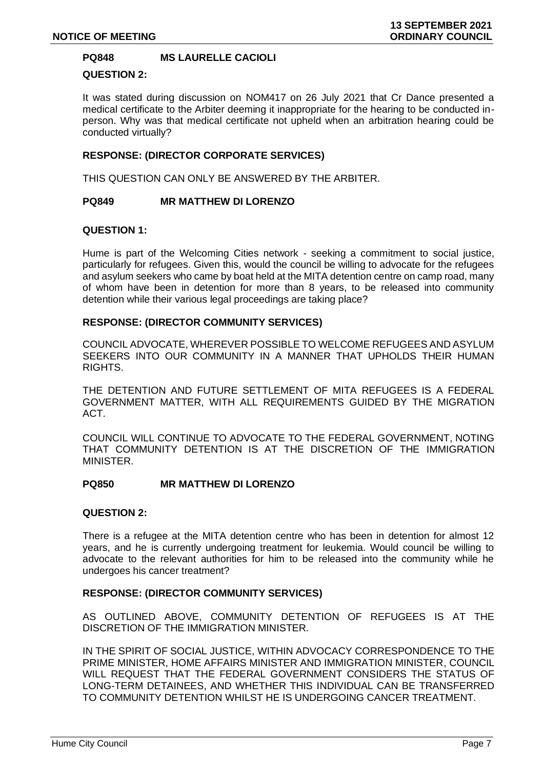## **PQ848 MS LAURELLE CACIOLI**

## **QUESTION 2:**

It was stated during discussion on NOM417 on 26 July 2021 that Cr Dance presented a medical certificate to the Arbiter deeming it inappropriate for the hearing to be conducted inperson. Why was that medical certificate not upheld when an arbitration hearing could be conducted virtually?

## **RESPONSE: (DIRECTOR CORPORATE SERVICES)**

THIS QUESTION CAN ONLY BE ANSWERED BY THE ARBITER.

#### **PQ849 MR MATTHEW DI LORENZO**

#### **QUESTION 1:**

Hume is part of the Welcoming Cities network - seeking a commitment to social justice, particularly for refugees. Given this, would the council be willing to advocate for the refugees and asylum seekers who came by boat held at the MITA detention centre on camp road, many of whom have been in detention for more than 8 years, to be released into community detention while their various legal proceedings are taking place?

#### **RESPONSE: (DIRECTOR COMMUNITY SERVICES)**

COUNCIL ADVOCATE, WHEREVER POSSIBLE TO WELCOME REFUGEES AND ASYLUM SEEKERS INTO OUR COMMUNITY IN A MANNER THAT UPHOLDS THEIR HUMAN RIGHTS.

THE DETENTION AND FUTURE SETTLEMENT OF MITA REFUGEES IS A FEDERAL GOVERNMENT MATTER, WITH ALL REQUIREMENTS GUIDED BY THE MIGRATION ACT.

COUNCIL WILL CONTINUE TO ADVOCATE TO THE FEDERAL GOVERNMENT, NOTING THAT COMMUNITY DETENTION IS AT THE DISCRETION OF THE IMMIGRATION MINISTER.

## **PQ850 MR MATTHEW DI LORENZO**

#### **QUESTION 2:**

There is a refugee at the MITA detention centre who has been in detention for almost 12 years, and he is currently undergoing treatment for leukemia. Would council be willing to advocate to the relevant authorities for him to be released into the community while he undergoes his cancer treatment?

#### **RESPONSE: (DIRECTOR COMMUNITY SERVICES)**

AS OUTLINED ABOVE, COMMUNITY DETENTION OF REFUGEES IS AT THE DISCRETION OF THE IMMIGRATION MINISTER.

IN THE SPIRIT OF SOCIAL JUSTICE, WITHIN ADVOCACY CORRESPONDENCE TO THE PRIME MINISTER, HOME AFFAIRS MINISTER AND IMMIGRATION MINISTER, COUNCIL WILL REQUEST THAT THE FEDERAL GOVERNMENT CONSIDERS THE STATUS OF LONG-TERM DETAINEES, AND WHETHER THIS INDIVIDUAL CAN BE TRANSFERRED TO COMMUNITY DETENTION WHILST HE IS UNDERGOING CANCER TREATMENT.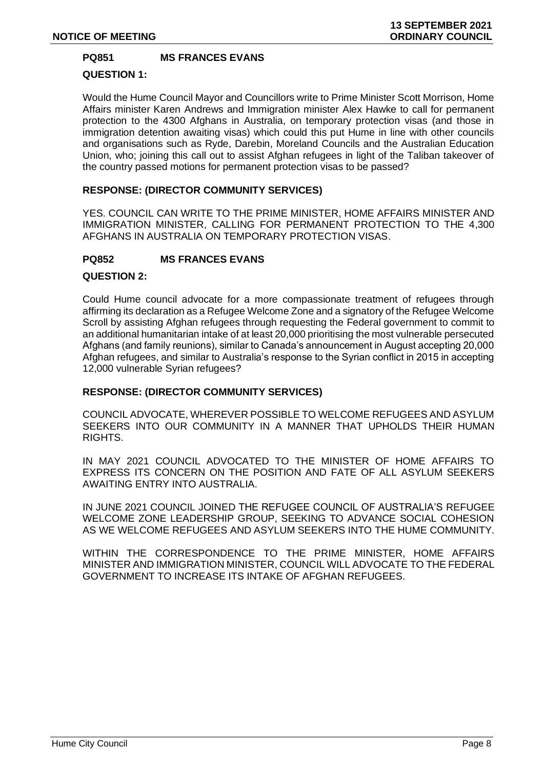## **PQ851 MS FRANCES EVANS**

## **QUESTION 1:**

Would the Hume Council Mayor and Councillors write to Prime Minister Scott Morrison, Home Affairs minister Karen Andrews and Immigration minister Alex Hawke to call for permanent protection to the 4300 Afghans in Australia, on temporary protection visas (and those in immigration detention awaiting visas) which could this put Hume in line with other councils and organisations such as Ryde, Darebin, Moreland Councils and the Australian Education Union, who; joining this call out to assist Afghan refugees in light of the Taliban takeover of the country passed motions for permanent protection visas to be passed?

## **RESPONSE: (DIRECTOR COMMUNITY SERVICES)**

YES. COUNCIL CAN WRITE TO THE PRIME MINISTER, HOME AFFAIRS MINISTER AND IMMIGRATION MINISTER, CALLING FOR PERMANENT PROTECTION TO THE 4,300 AFGHANS IN AUSTRALIA ON TEMPORARY PROTECTION VISAS.

## **PQ852 MS FRANCES EVANS**

## **QUESTION 2:**

Could Hume council advocate for a more compassionate treatment of refugees through affirming its declaration as a Refugee Welcome Zone and a signatory of the Refugee Welcome Scroll by assisting Afghan refugees through requesting the Federal government to commit to an additional humanitarian intake of at least 20,000 prioritising the most vulnerable persecuted Afghans (and family reunions), similar to Canada's announcement in August accepting 20,000 Afghan refugees, and similar to Australia's response to the Syrian conflict in 2015 in accepting 12,000 vulnerable Syrian refugees?

## **RESPONSE: (DIRECTOR COMMUNITY SERVICES)**

COUNCIL ADVOCATE, WHEREVER POSSIBLE TO WELCOME REFUGEES AND ASYLUM SEEKERS INTO OUR COMMUNITY IN A MANNER THAT UPHOLDS THEIR HUMAN RIGHTS.

IN MAY 2021 COUNCIL ADVOCATED TO THE MINISTER OF HOME AFFAIRS TO EXPRESS ITS CONCERN ON THE POSITION AND FATE OF ALL ASYLUM SEEKERS AWAITING ENTRY INTO AUSTRALIA.

IN JUNE 2021 COUNCIL JOINED THE REFUGEE COUNCIL OF AUSTRALIA'S REFUGEE WELCOME ZONE LEADERSHIP GROUP, SEEKING TO ADVANCE SOCIAL COHESION AS WE WELCOME REFUGEES AND ASYLUM SEEKERS INTO THE HUME COMMUNITY.

WITHIN THE CORRESPONDENCE TO THE PRIME MINISTER, HOME AFFAIRS MINISTER AND IMMIGRATION MINISTER, COUNCIL WILL ADVOCATE TO THE FEDERAL GOVERNMENT TO INCREASE ITS INTAKE OF AFGHAN REFUGEES.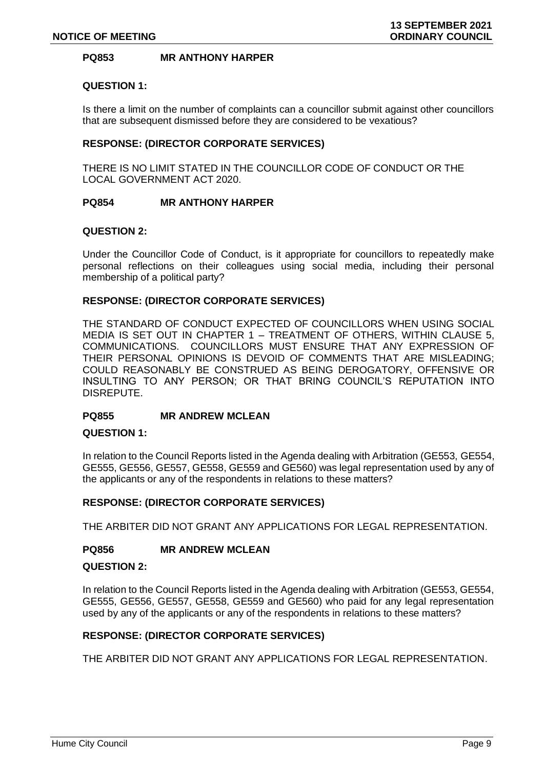## **PQ853 MR ANTHONY HARPER**

## **QUESTION 1:**

Is there a limit on the number of complaints can a councillor submit against other councillors that are subsequent dismissed before they are considered to be vexatious?

## **RESPONSE: (DIRECTOR CORPORATE SERVICES)**

THERE IS NO LIMIT STATED IN THE COUNCILLOR CODE OF CONDUCT OR THE LOCAL GOVERNMENT ACT 2020.

#### **PQ854 MR ANTHONY HARPER**

#### **QUESTION 2:**

Under the Councillor Code of Conduct, is it appropriate for councillors to repeatedly make personal reflections on their colleagues using social media, including their personal membership of a political party?

#### **RESPONSE: (DIRECTOR CORPORATE SERVICES)**

THE STANDARD OF CONDUCT EXPECTED OF COUNCILLORS WHEN USING SOCIAL MEDIA IS SET OUT IN CHAPTER 1 – TREATMENT OF OTHERS, WITHIN CLAUSE 5, COMMUNICATIONS. COUNCILLORS MUST ENSURE THAT ANY EXPRESSION OF THEIR PERSONAL OPINIONS IS DEVOID OF COMMENTS THAT ARE MISLEADING; COULD REASONABLY BE CONSTRUED AS BEING DEROGATORY, OFFENSIVE OR INSULTING TO ANY PERSON; OR THAT BRING COUNCIL'S REPUTATION INTO DISREPUTE.

#### **PQ855 MR ANDREW MCLEAN**

#### **QUESTION 1:**

In relation to the Council Reports listed in the Agenda dealing with Arbitration (GE553, GE554, GE555, GE556, GE557, GE558, GE559 and GE560) was legal representation used by any of the applicants or any of the respondents in relations to these matters?

#### **RESPONSE: (DIRECTOR CORPORATE SERVICES)**

THE ARBITER DID NOT GRANT ANY APPLICATIONS FOR LEGAL REPRESENTATION.

## **PQ856 MR ANDREW MCLEAN**

#### **QUESTION 2:**

In relation to the Council Reports listed in the Agenda dealing with Arbitration (GE553, GE554, GE555, GE556, GE557, GE558, GE559 and GE560) who paid for any legal representation used by any of the applicants or any of the respondents in relations to these matters?

#### **RESPONSE: (DIRECTOR CORPORATE SERVICES)**

THE ARBITER DID NOT GRANT ANY APPLICATIONS FOR LEGAL REPRESENTATION.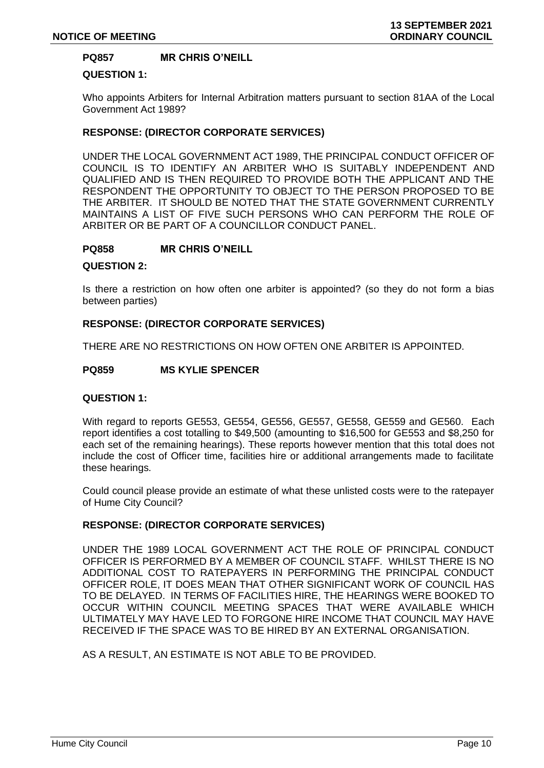## **PQ857 MR CHRIS O'NEILL**

## **QUESTION 1:**

Who appoints Arbiters for Internal Arbitration matters pursuant to section 81AA of the Local Government Act 1989?

#### **RESPONSE: (DIRECTOR CORPORATE SERVICES)**

UNDER THE LOCAL GOVERNMENT ACT 1989, THE PRINCIPAL CONDUCT OFFICER OF COUNCIL IS TO IDENTIFY AN ARBITER WHO IS SUITABLY INDEPENDENT AND QUALIFIED AND IS THEN REQUIRED TO PROVIDE BOTH THE APPLICANT AND THE RESPONDENT THE OPPORTUNITY TO OBJECT TO THE PERSON PROPOSED TO BE THE ARBITER. IT SHOULD BE NOTED THAT THE STATE GOVERNMENT CURRENTLY MAINTAINS A LIST OF FIVE SUCH PERSONS WHO CAN PERFORM THE ROLE OF ARBITER OR BE PART OF A COUNCILLOR CONDUCT PANEL.

#### **PQ858 MR CHRIS O'NEILL**

#### **QUESTION 2:**

Is there a restriction on how often one arbiter is appointed? (so they do not form a bias between parties)

#### **RESPONSE: (DIRECTOR CORPORATE SERVICES)**

THERE ARE NO RESTRICTIONS ON HOW OFTEN ONE ARBITER IS APPOINTED.

#### **PQ859 MS KYLIE SPENCER**

#### **QUESTION 1:**

With regard to reports GE553, GE554, GE556, GE557, GE558, GE559 and GE560. Each report identifies a cost totalling to \$49,500 (amounting to \$16,500 for GE553 and \$8,250 for each set of the remaining hearings). These reports however mention that this total does not include the cost of Officer time, facilities hire or additional arrangements made to facilitate these hearings.

Could council please provide an estimate of what these unlisted costs were to the ratepayer of Hume City Council?

## **RESPONSE: (DIRECTOR CORPORATE SERVICES)**

UNDER THE 1989 LOCAL GOVERNMENT ACT THE ROLE OF PRINCIPAL CONDUCT OFFICER IS PERFORMED BY A MEMBER OF COUNCIL STAFF. WHILST THERE IS NO ADDITIONAL COST TO RATEPAYERS IN PERFORMING THE PRINCIPAL CONDUCT OFFICER ROLE, IT DOES MEAN THAT OTHER SIGNIFICANT WORK OF COUNCIL HAS TO BE DELAYED. IN TERMS OF FACILITIES HIRE, THE HEARINGS WERE BOOKED TO OCCUR WITHIN COUNCIL MEETING SPACES THAT WERE AVAILABLE WHICH ULTIMATELY MAY HAVE LED TO FORGONE HIRE INCOME THAT COUNCIL MAY HAVE RECEIVED IF THE SPACE WAS TO BE HIRED BY AN EXTERNAL ORGANISATION.

AS A RESULT, AN ESTIMATE IS NOT ABLE TO BE PROVIDED.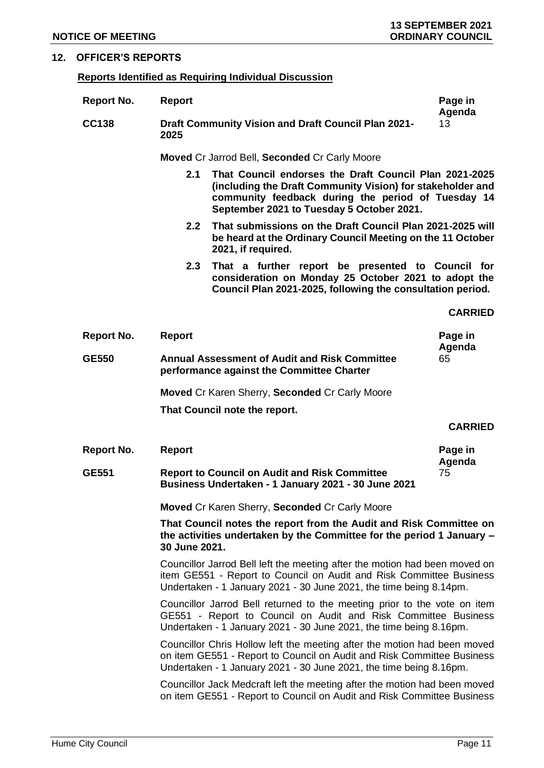## **12. OFFICER'S REPORTS**

## **Reports Identified as Requiring Individual Discussion**

| <b>Report No.</b> | <b>Report</b>                                                                                                                                                                                                                  | Page in<br>Agenda |  |  |
|-------------------|--------------------------------------------------------------------------------------------------------------------------------------------------------------------------------------------------------------------------------|-------------------|--|--|
| <b>CC138</b>      | <b>Draft Community Vision and Draft Council Plan 2021-</b><br>2025                                                                                                                                                             | 13                |  |  |
|                   | <b>Moved Cr Jarrod Bell, Seconded Cr Carly Moore</b>                                                                                                                                                                           |                   |  |  |
|                   | That Council endorses the Draft Council Plan 2021-2025<br>2.1<br>(including the Draft Community Vision) for stakeholder and<br>community feedback during the period of Tuesday 14<br>September 2021 to Tuesday 5 October 2021. |                   |  |  |
|                   | That submissions on the Draft Council Plan 2021-2025 will<br>2.2 <sub>2</sub><br>be heard at the Ordinary Council Meeting on the 11 October<br>2021, if required.                                                              |                   |  |  |
|                   | 2.3<br>That a further report be presented to Council for<br>consideration on Monday 25 October 2021 to adopt the<br>Council Plan 2021-2025, following the consultation period.                                                 |                   |  |  |
|                   |                                                                                                                                                                                                                                | <b>CARRIED</b>    |  |  |
| <b>Report No.</b> | <b>Report</b>                                                                                                                                                                                                                  | Page in<br>Agenda |  |  |
| <b>GE550</b>      | <b>Annual Assessment of Audit and Risk Committee</b><br>performance against the Committee Charter                                                                                                                              | 65                |  |  |
|                   | <b>Moved Cr Karen Sherry, Seconded Cr Carly Moore</b>                                                                                                                                                                          |                   |  |  |
|                   | That Council note the report.                                                                                                                                                                                                  |                   |  |  |
|                   |                                                                                                                                                                                                                                | <b>CARRIED</b>    |  |  |
| <b>Report No.</b> | <b>Report</b>                                                                                                                                                                                                                  | Page in           |  |  |
| <b>GE551</b>      | <b>Report to Council on Audit and Risk Committee</b><br>Business Undertaken - 1 January 2021 - 30 June 2021                                                                                                                    | Agenda<br>75      |  |  |
|                   | Moved Cr Karen Sherry, Seconded Cr Carly Moore                                                                                                                                                                                 |                   |  |  |
|                   | That Council notes the report from the Audit and Risk Committee on<br>the activities undertaken by the Committee for the period 1 January -<br>30 June 2021.                                                                   |                   |  |  |
|                   | Councillor Jarrod Bell left the meeting after the motion had been moved on<br>item GE551 - Report to Council on Audit and Risk Committee Business<br>Undertaken - 1 January 2021 - 30 June 2021, the time being 8.14pm.        |                   |  |  |
|                   | Councillor Jarrod Bell returned to the meeting prior to the vote on item<br>GE551 - Report to Council on Audit and Risk Committee Business<br>Undertaken - 1 January 2021 - 30 June 2021, the time being 8.16pm.               |                   |  |  |
|                   | Councillor Chris Hollow left the meeting after the motion had been moved<br>on item GE551 - Report to Council on Audit and Risk Committee Business<br>Undertaken - 1 January 2021 - 30 June 2021, the time being 8.16pm.       |                   |  |  |
|                   | Councillor Jack Medcraft left the meeting after the motion had been moved<br>on item GE551 - Report to Council on Audit and Risk Committee Business                                                                            |                   |  |  |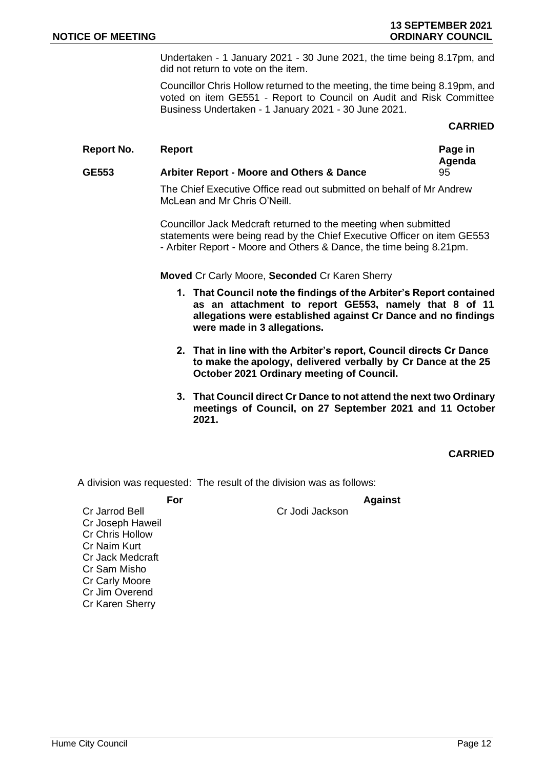Undertaken - 1 January 2021 - 30 June 2021, the time being 8.17pm, and did not return to vote on the item.

Councillor Chris Hollow returned to the meeting, the time being 8.19pm, and voted on item GE551 - Report to Council on Audit and Risk Committee Business Undertaken - 1 January 2021 - 30 June 2021.

## **CARRIED**

#### **Report No. 8 Report Page in 2 Page in 2 Page in**

#### **Agenda GE553 Arbiter Report - Moore and Others & Dance** 95

The Chief Executive Office read out submitted on behalf of Mr Andrew McLean and Mr Chris O'Neill.

Councillor Jack Medcraft returned to the meeting when submitted statements were being read by the Chief Executive Officer on item GE553 - Arbiter Report - Moore and Others & Dance, the time being 8.21pm.

#### **Moved** Cr Carly Moore, **Seconded** Cr Karen Sherry

- **1. That Council note the findings of the Arbiter's Report contained as an attachment to report GE553, namely that 8 of 11 allegations were established against Cr Dance and no findings were made in 3 allegations.**
- **2. That in line with the Arbiter's report, Council directs Cr Dance to make the apology, delivered verbally by Cr Dance at the 25 October 2021 Ordinary meeting of Council.**
- **3. That Council direct Cr Dance to not attend the next two Ordinary meetings of Council, on 27 September 2021 and 11 October 2021.**

**CARRIED**

A division was requested: The result of the division was as follows:

**For Against**

Cr Jarrod Bell Cr Jodi Jackson Cr Joseph Haweil Cr Chris Hollow Cr Naim Kurt Cr Jack Medcraft Cr Sam Misho Cr Carly Moore Cr Jim Overend Cr Karen Sherry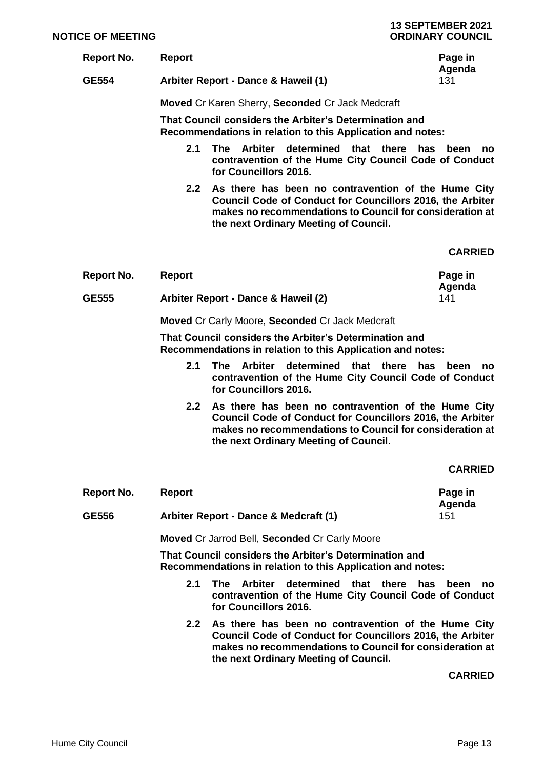| <b>NOTICE OF MEETING</b> |                  |                                                                                                                                                                                                                              | <b>13 SEPTEMBER 2021</b><br><b>ORDINARY COUNCIL</b> |
|--------------------------|------------------|------------------------------------------------------------------------------------------------------------------------------------------------------------------------------------------------------------------------------|-----------------------------------------------------|
| <b>Report No.</b>        | <b>Report</b>    |                                                                                                                                                                                                                              | Page in<br>Agenda                                   |
| <b>GE554</b>             |                  | Arbiter Report - Dance & Haweil (1)                                                                                                                                                                                          | 131                                                 |
|                          |                  | Moved Cr Karen Sherry, Seconded Cr Jack Medcraft                                                                                                                                                                             |                                                     |
|                          |                  | That Council considers the Arbiter's Determination and<br>Recommendations in relation to this Application and notes:                                                                                                         |                                                     |
|                          | 2.1              | determined that there<br><b>The</b><br>Arbiter<br>contravention of the Hume City Council Code of Conduct<br>for Councillors 2016.                                                                                            | has<br>been<br>no                                   |
|                          | 2.2 <sub>2</sub> | As there has been no contravention of the Hume City<br>Council Code of Conduct for Councillors 2016, the Arbiter<br>makes no recommendations to Council for consideration at<br>the next Ordinary Meeting of Council.        |                                                     |
|                          |                  |                                                                                                                                                                                                                              | <b>CARRIED</b>                                      |
| <b>Report No.</b>        | <b>Report</b>    |                                                                                                                                                                                                                              | Page in<br>Agenda                                   |
| <b>GE555</b>             |                  | Arbiter Report - Dance & Haweil (2)                                                                                                                                                                                          | 141                                                 |
|                          |                  | <b>Moved Cr Carly Moore, Seconded Cr Jack Medcraft</b>                                                                                                                                                                       |                                                     |
|                          |                  | That Council considers the Arbiter's Determination and<br>Recommendations in relation to this Application and notes:                                                                                                         |                                                     |
|                          | 2.1              | determined that there<br><b>Arbiter</b><br>The l<br>contravention of the Hume City Council Code of Conduct<br>for Councillors 2016.                                                                                          | has<br>been<br>no                                   |
|                          | $2.2\phantom{0}$ | As there has been no contravention of the Hume City<br>Council Code of Conduct for Councillors 2016, the Arbiter<br>makes no recommendations to Council for consideration at<br>the next Ordinary Meeting of Council.        |                                                     |
|                          |                  |                                                                                                                                                                                                                              | <b>CARRIED</b>                                      |
| <b>Report No.</b>        | <b>Report</b>    |                                                                                                                                                                                                                              | Page in                                             |
| <b>GE556</b>             |                  | Arbiter Report - Dance & Medcraft (1)                                                                                                                                                                                        | Agenda<br>151                                       |
|                          |                  | <b>Moved Cr Jarrod Bell, Seconded Cr Carly Moore</b>                                                                                                                                                                         |                                                     |
|                          |                  | That Council considers the Arbiter's Determination and<br>Recommendations in relation to this Application and notes:                                                                                                         |                                                     |
|                          | 2.1              | The<br>Arbiter<br>determined that there<br>contravention of the Hume City Council Code of Conduct<br>for Councillors 2016.                                                                                                   | has<br>been<br>no                                   |
|                          | 2.2 <sub>2</sub> | As there has been no contravention of the Hume City<br><b>Council Code of Conduct for Councillors 2016, the Arbiter</b><br>makes no recommendations to Council for consideration at<br>the next Ordinary Meeting of Council. |                                                     |
|                          |                  |                                                                                                                                                                                                                              | <b>CARRIED</b>                                      |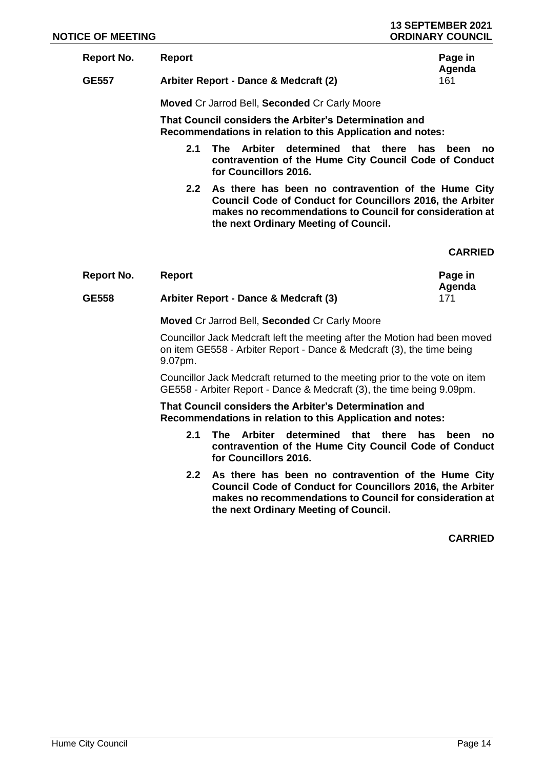| Report No. | <b>Report</b>                        | Page in |
|------------|--------------------------------------|---------|
|            |                                      | Agenda  |
| CEEZ       | Arbitar Danart, Danaa 9 Madaraft (2) | 1 Q 1   |

**GE557 Arbiter Report - Dance & Medcraft (2)** 161

**Moved** Cr Jarrod Bell, **Seconded** Cr Carly Moore

**That Council considers the Arbiter's Determination and Recommendations in relation to this Application and notes:**

- **2.1 The Arbiter determined that there has been no contravention of the Hume City Council Code of Conduct for Councillors 2016.**
- **2.2 As there has been no contravention of the Hume City Council Code of Conduct for Councillors 2016, the Arbiter makes no recommendations to Council for consideration at the next Ordinary Meeting of Council.**

## **CARRIED**

| Report No.   | Report                                | Page in |
|--------------|---------------------------------------|---------|
|              |                                       | Agenda  |
| <b>GE558</b> | Arbiter Report - Dance & Medcraft (3) |         |

**Moved** Cr Jarrod Bell, **Seconded** Cr Carly Moore

Councillor Jack Medcraft left the meeting after the Motion had been moved on item GE558 - Arbiter Report - Dance & Medcraft (3), the time being 9.07pm.

Councillor Jack Medcraft returned to the meeting prior to the vote on item GE558 - Arbiter Report - Dance & Medcraft (3), the time being 9.09pm.

**That Council considers the Arbiter's Determination and Recommendations in relation to this Application and notes:**

- **2.1 The Arbiter determined that there has been no contravention of the Hume City Council Code of Conduct for Councillors 2016.**
- **2.2 As there has been no contravention of the Hume City Council Code of Conduct for Councillors 2016, the Arbiter makes no recommendations to Council for consideration at the next Ordinary Meeting of Council.**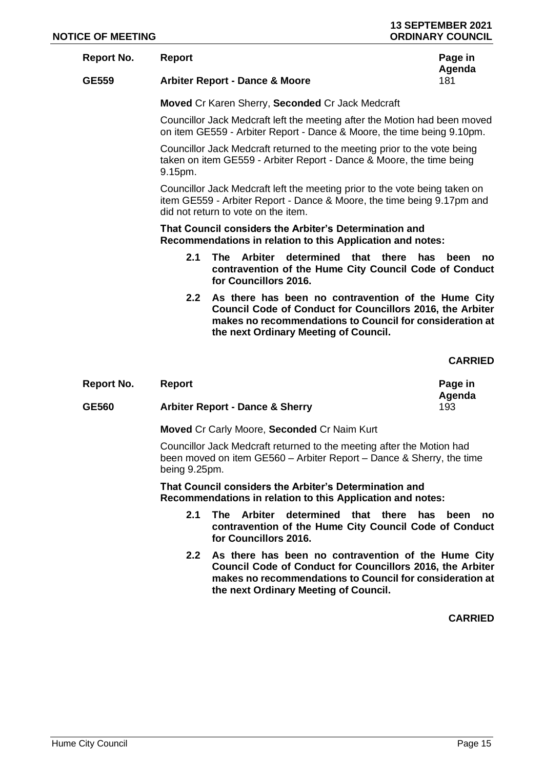#### **Report No. Report Page in**

# **Agenda**

## **GE559 Arbiter Report - Dance & Moore** 181

**Moved** Cr Karen Sherry, **Seconded** Cr Jack Medcraft

Councillor Jack Medcraft left the meeting after the Motion had been moved on item GE559 - Arbiter Report - Dance & Moore, the time being 9.10pm.

Councillor Jack Medcraft returned to the meeting prior to the vote being taken on item GE559 - Arbiter Report - Dance & Moore, the time being 9.15pm.

Councillor Jack Medcraft left the meeting prior to the vote being taken on item GE559 - Arbiter Report - Dance & Moore, the time being 9.17pm and did not return to vote on the item.

**That Council considers the Arbiter's Determination and Recommendations in relation to this Application and notes:**

- **2.1 The Arbiter determined that there has been no contravention of the Hume City Council Code of Conduct for Councillors 2016.**
- **2.2 As there has been no contravention of the Hume City Council Code of Conduct for Councillors 2016, the Arbiter makes no recommendations to Council for consideration at the next Ordinary Meeting of Council.**

**CARRIED**

| <b>Report No.</b> | Report                                     | Page in<br>Agenda |
|-------------------|--------------------------------------------|-------------------|
| GE560             | <b>Arbiter Report - Dance &amp; Sherry</b> | 193               |

**Moved** Cr Carly Moore, **Seconded** Cr Naim Kurt

Councillor Jack Medcraft returned to the meeting after the Motion had been moved on item GE560 – Arbiter Report – Dance & Sherry, the time being 9.25pm.

**That Council considers the Arbiter's Determination and Recommendations in relation to this Application and notes:**

- **2.1 The Arbiter determined that there has been no contravention of the Hume City Council Code of Conduct for Councillors 2016.**
- **2.2 As there has been no contravention of the Hume City Council Code of Conduct for Councillors 2016, the Arbiter makes no recommendations to Council for consideration at the next Ordinary Meeting of Council.**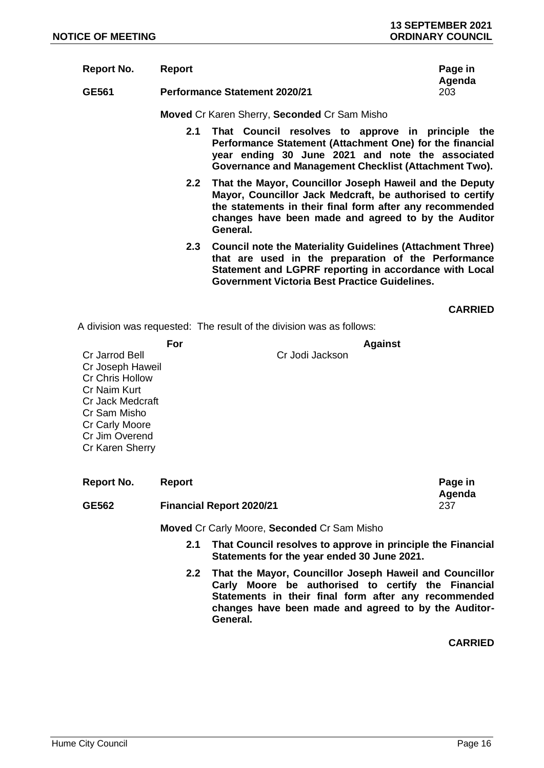| <b>Report No.</b> | Report                                       | Page in<br>Agenda |
|-------------------|----------------------------------------------|-------------------|
| GE561             | <b>Performance Statement 2020/21</b>         | 203               |
|                   | Moved Cr Karen Sherry, Seconded Cr Sam Misho |                   |

- **2.1 That Council resolves to approve in principle the Performance Statement (Attachment One) for the financial year ending 30 June 2021 and note the associated Governance and Management Checklist (Attachment Two).**
- **2.2 That the Mayor, Councillor Joseph Haweil and the Deputy Mayor, Councillor Jack Medcraft, be authorised to certify the statements in their final form after any recommended changes have been made and agreed to by the Auditor General.**
- **2.3 Council note the Materiality Guidelines (Attachment Three) that are used in the preparation of the Performance Statement and LGPRF reporting in accordance with Local Government Victoria Best Practice Guidelines.**

**CARRIED**

A division was requested: The result of the division was as follows:

|                        | For |                 | <b>Against</b> |
|------------------------|-----|-----------------|----------------|
| Cr Jarrod Bell         |     | Cr Jodi Jackson |                |
| Cr Joseph Haweil       |     |                 |                |
| <b>Cr Chris Hollow</b> |     |                 |                |
| Cr Naim Kurt           |     |                 |                |
| Cr Jack Medcraft       |     |                 |                |
| Cr Sam Misho           |     |                 |                |
| Cr Carly Moore         |     |                 |                |
| Cr Jim Overend         |     |                 |                |
| Cr Karen Sherry        |     |                 |                |
|                        |     |                 |                |
|                        |     |                 |                |

| Report No.   | <b>Report</b>                   | Page in<br>Agenda |
|--------------|---------------------------------|-------------------|
| <b>GE562</b> | <b>Financial Report 2020/21</b> | 237               |

**Moved** Cr Carly Moore, **Seconded** Cr Sam Misho

- **2.1 That Council resolves to approve in principle the Financial Statements for the year ended 30 June 2021.**
- **2.2 That the Mayor, Councillor Joseph Haweil and Councillor Carly Moore be authorised to certify the Financial Statements in their final form after any recommended changes have been made and agreed to by the Auditor-General.**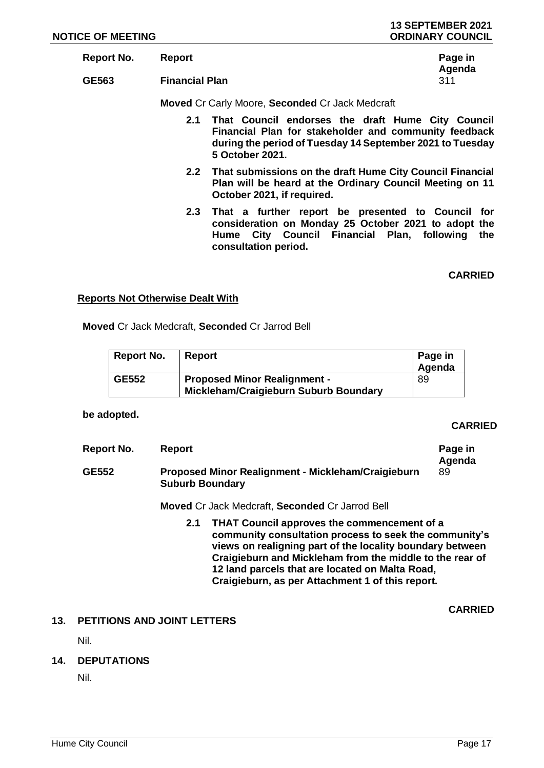| Report No. | Report                | Page in |
|------------|-----------------------|---------|
|            |                       | Agenda  |
| GE563      | <b>Financial Plan</b> | 311     |

**Moved** Cr Carly Moore, **Seconded** Cr Jack Medcraft

- **2.1 That Council endorses the draft Hume City Council Financial Plan for stakeholder and community feedback during the period of Tuesday 14 September 2021 to Tuesday 5 October 2021.**
- **2.2 That submissions on the draft Hume City Council Financial Plan will be heard at the Ordinary Council Meeting on 11 October 2021, if required.**
- **2.3 That a further report be presented to Council for consideration on Monday 25 October 2021 to adopt the Hume City Council Financial Plan, following the consultation period.**

**CARRIED**

#### **Reports Not Otherwise Dealt With**

**Moved** Cr Jack Medcraft, **Seconded** Cr Jarrod Bell

| Report No.   | Report                                                                       | Page in<br>Agenda |
|--------------|------------------------------------------------------------------------------|-------------------|
| <b>GE552</b> | <b>Proposed Minor Realignment -</b><br>Mickleham/Craigieburn Suburb Boundary | 89                |

#### **be adopted.**

## **CARRIED**

| Report No.   | <b>Report</b>                                                                                                                                                                                                                                                                                                                                | Page in<br>Agenda |
|--------------|----------------------------------------------------------------------------------------------------------------------------------------------------------------------------------------------------------------------------------------------------------------------------------------------------------------------------------------------|-------------------|
| <b>GE552</b> | Proposed Minor Realignment - Mickleham/Craigieburn<br><b>Suburb Boundary</b>                                                                                                                                                                                                                                                                 | 89                |
|              | <b>Moved Cr Jack Medcraft, Seconded Cr Jarrod Bell</b>                                                                                                                                                                                                                                                                                       |                   |
|              | THAT Council approves the commencement of a<br>2.1<br>community consultation process to seek the community's<br>views on realigning part of the locality boundary between<br>Craigieburn and Mickleham from the middle to the rear of<br>12 land parcels that are located on Malta Road,<br>Craigieburn, as per Attachment 1 of this report. |                   |
|              |                                                                                                                                                                                                                                                                                                                                              | <b>CARRIED</b>    |

## **13. PETITIONS AND JOINT LETTERS**

Nil.

## **14. DEPUTATIONS**

Nil.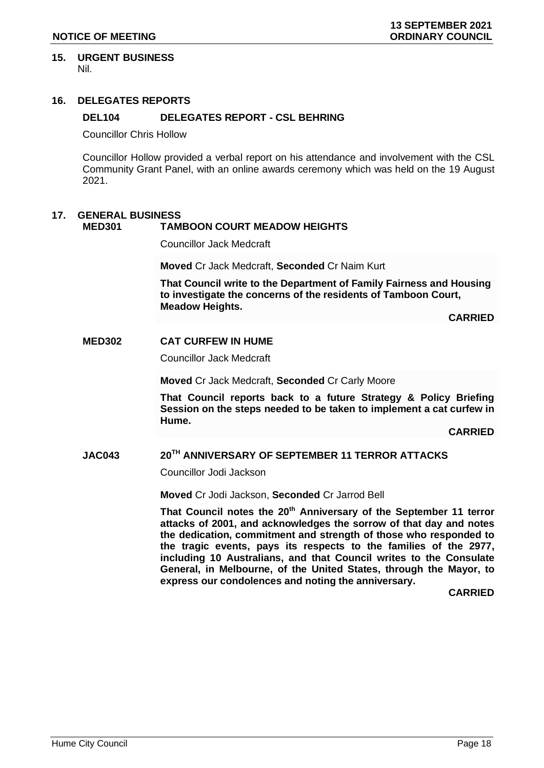#### **15. URGENT BUSINESS** Nil.

## **16. DELEGATES REPORTS**

## **DEL104 DELEGATES REPORT - CSL BEHRING**

Councillor Chris Hollow

Councillor Hollow provided a verbal report on his attendance and involvement with the CSL Community Grant Panel, with an online awards ceremony which was held on the 19 August 2021.

## **17. GENERAL BUSINESS**

## **MED301 TAMBOON COURT MEADOW HEIGHTS**

Councillor Jack Medcraft

**Moved** Cr Jack Medcraft, **Seconded** Cr Naim Kurt

**That Council write to the Department of Family Fairness and Housing to investigate the concerns of the residents of Tamboon Court, Meadow Heights.**

**CARRIED**

#### **MED302 CAT CURFEW IN HUME**

Councillor Jack Medcraft

**Moved** Cr Jack Medcraft, **Seconded** Cr Carly Moore

**That Council reports back to a future Strategy & Policy Briefing Session on the steps needed to be taken to implement a cat curfew in Hume.**

**CARRIED**

## **JAC043 20TH ANNIVERSARY OF SEPTEMBER 11 TERROR ATTACKS**

Councillor Jodi Jackson

**Moved** Cr Jodi Jackson, **Seconded** Cr Jarrod Bell

**That Council notes the 20th Anniversary of the September 11 terror attacks of 2001, and acknowledges the sorrow of that day and notes the dedication, commitment and strength of those who responded to the tragic events, pays its respects to the families of the 2977, including 10 Australians, and that Council writes to the Consulate General, in Melbourne, of the United States, through the Mayor, to express our condolences and noting the anniversary.**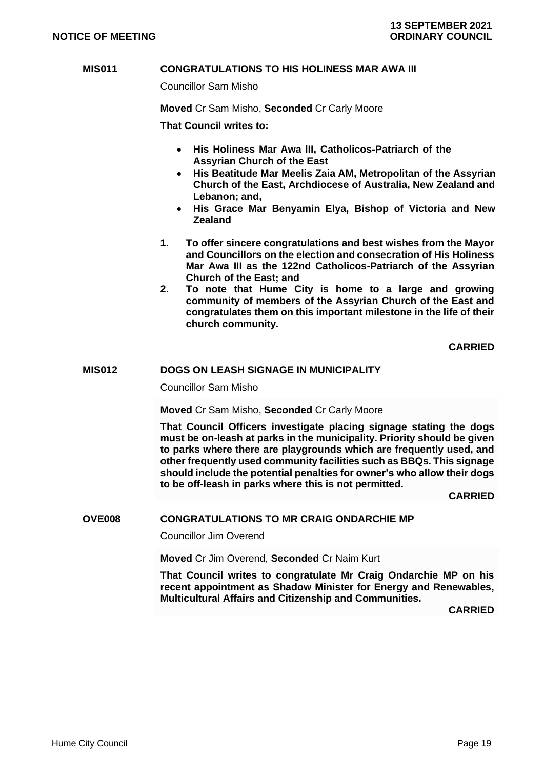## **MIS011 CONGRATULATIONS TO HIS HOLINESS MAR AWA III**

Councillor Sam Misho

**Moved** Cr Sam Misho, **Seconded** Cr Carly Moore

**That Council writes to:**

- **His Holiness Mar Awa III, Catholicos-Patriarch of the Assyrian Church of the East**
- **His Beatitude Mar Meelis Zaia AM, Metropolitan of the Assyrian Church of the East, Archdiocese of Australia, New Zealand and Lebanon; and,**
- **His Grace Mar Benyamin Elya, Bishop of Victoria and New Zealand**
- **1. To offer sincere congratulations and best wishes from the Mayor and Councillors on the election and consecration of His Holiness Mar Awa III as the 122nd Catholicos-Patriarch of the Assyrian Church of the East; and**
- **2. To note that Hume City is home to a large and growing community of members of the Assyrian Church of the East and congratulates them on this important milestone in the life of their church community.**

 **CARRIED**

#### **MIS012 DOGS ON LEASH SIGNAGE IN MUNICIPALITY**

Councillor Sam Misho

**Moved** Cr Sam Misho, **Seconded** Cr Carly Moore

**That Council Officers investigate placing signage stating the dogs must be on-leash at parks in the municipality. Priority should be given to parks where there are playgrounds which are frequently used, and other frequently used community facilities such as BBQs. This signage should include the potential penalties for owner's who allow their dogs to be off-leash in parks where this is not permitted.** 

 **CARRIED**

## **OVE008 CONGRATULATIONS TO MR CRAIG ONDARCHIE MP**

Councillor Jim Overend

**Moved** Cr Jim Overend, **Seconded** Cr Naim Kurt

**That Council writes to congratulate Mr Craig Ondarchie MP on his recent appointment as Shadow Minister for Energy and Renewables, Multicultural Affairs and Citizenship and Communities.**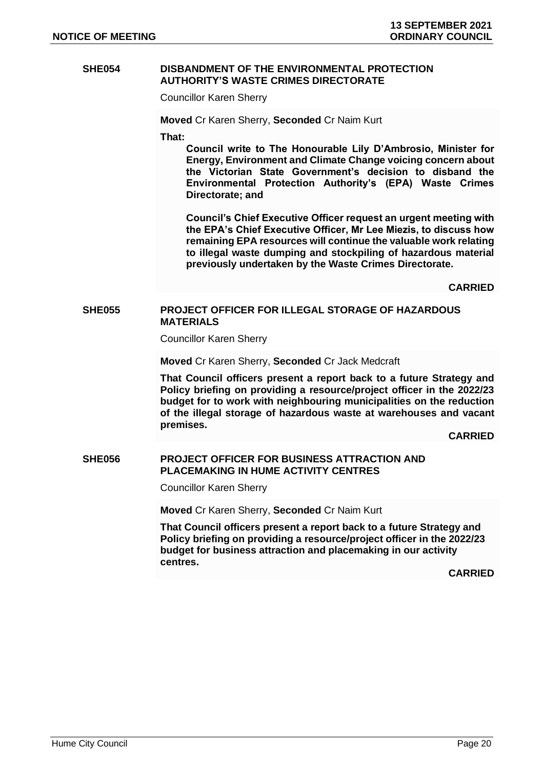#### **SHE054 DISBANDMENT OF THE ENVIRONMENTAL PROTECTION AUTHORITY'S WASTE CRIMES DIRECTORATE**

Councillor Karen Sherry

**Moved** Cr Karen Sherry, **Seconded** Cr Naim Kurt

**That:**

**Council write to The Honourable Lily D'Ambrosio, Minister for Energy, Environment and Climate Change voicing concern about the Victorian State Government's decision to disband the Environmental Protection Authority's (EPA) Waste Crimes Directorate; and** 

**Council's Chief Executive Officer request an urgent meeting with the EPA's Chief Executive Officer, Mr Lee Miezis, to discuss how remaining EPA resources will continue the valuable work relating to illegal waste dumping and stockpiling of hazardous material previously undertaken by the Waste Crimes Directorate.**

**CARRIED**

#### **SHE055 PROJECT OFFICER FOR ILLEGAL STORAGE OF HAZARDOUS MATERIALS**

Councillor Karen Sherry

**Moved** Cr Karen Sherry, **Seconded** Cr Jack Medcraft

**That Council officers present a report back to a future Strategy and Policy briefing on providing a resource/project officer in the 2022/23 budget for to work with neighbouring municipalities on the reduction of the illegal storage of hazardous waste at warehouses and vacant premises.** 

**CARRIED**

## **SHE056 PROJECT OFFICER FOR BUSINESS ATTRACTION AND PLACEMAKING IN HUME ACTIVITY CENTRES**

Councillor Karen Sherry

**Moved** Cr Karen Sherry, **Seconded** Cr Naim Kurt

**That Council officers present a report back to a future Strategy and Policy briefing on providing a resource/project officer in the 2022/23 budget for business attraction and placemaking in our activity centres.**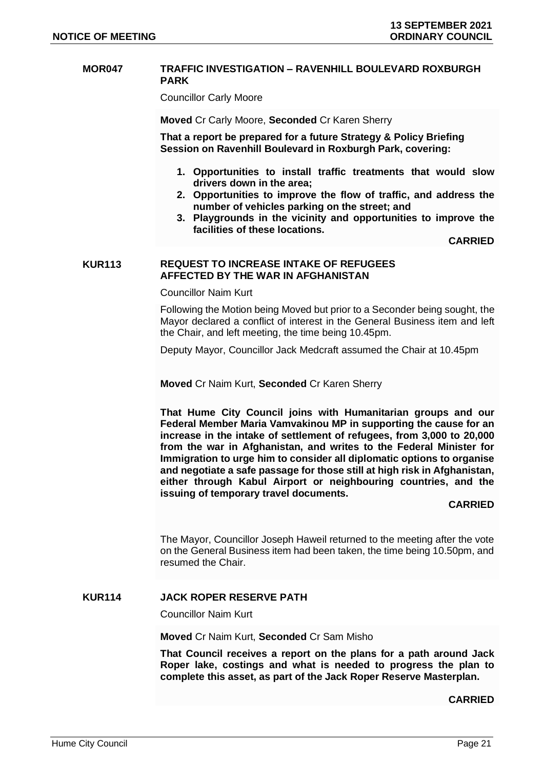#### **MOR047 TRAFFIC INVESTIGATION – RAVENHILL BOULEVARD ROXBURGH PARK**

Councillor Carly Moore

**Moved** Cr Carly Moore, **Seconded** Cr Karen Sherry

**That a report be prepared for a future Strategy & Policy Briefing Session on Ravenhill Boulevard in Roxburgh Park, covering:**

- **1. Opportunities to install traffic treatments that would slow drivers down in the area;**
- **2. Opportunities to improve the flow of traffic, and address the number of vehicles parking on the street; and**
- **3. Playgrounds in the vicinity and opportunities to improve the facilities of these locations.**

**CARRIED**

#### **KUR113 REQUEST TO INCREASE INTAKE OF REFUGEES AFFECTED BY THE WAR IN AFGHANISTAN**

Councillor Naim Kurt

Following the Motion being Moved but prior to a Seconder being sought, the Mayor declared a conflict of interest in the General Business item and left the Chair, and left meeting, the time being 10.45pm.

Deputy Mayor, Councillor Jack Medcraft assumed the Chair at 10.45pm

**Moved** Cr Naim Kurt, **Seconded** Cr Karen Sherry

**That Hume City Council joins with Humanitarian groups and our Federal Member Maria Vamvakinou MP in supporting the cause for an increase in the intake of settlement of refugees, from 3,000 to 20,000 from the war in Afghanistan, and writes to the Federal Minister for Immigration to urge him to consider all diplomatic options to organise and negotiate a safe passage for those still at high risk in Afghanistan, either through Kabul Airport or neighbouring countries, and the issuing of temporary travel documents.** 

#### **CARRIED**

The Mayor, Councillor Joseph Haweil returned to the meeting after the vote on the General Business item had been taken, the time being 10.50pm, and resumed the Chair.

## **KUR114 JACK ROPER RESERVE PATH**

Councillor Naim Kurt

**Moved** Cr Naim Kurt, **Seconded** Cr Sam Misho

**That Council receives a report on the plans for a path around Jack Roper lake, costings and what is needed to progress the plan to complete this asset, as part of the Jack Roper Reserve Masterplan.**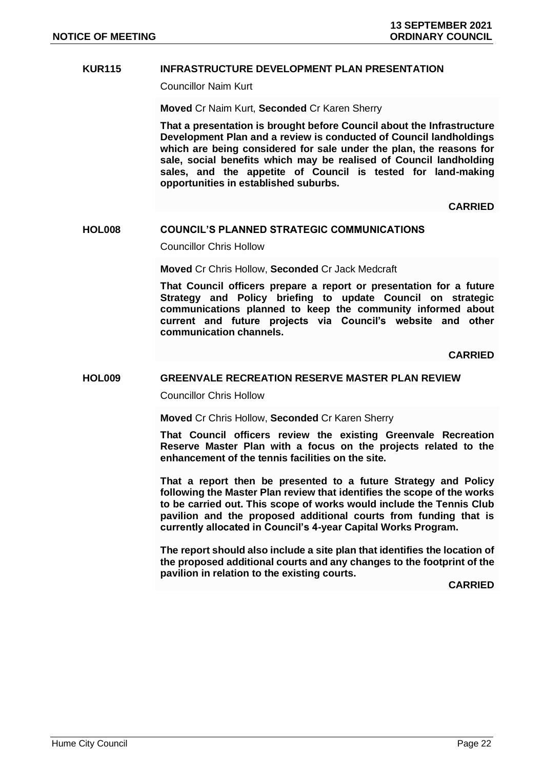## **KUR115 INFRASTRUCTURE DEVELOPMENT PLAN PRESENTATION**

Councillor Naim Kurt

**Moved** Cr Naim Kurt, **Seconded** Cr Karen Sherry

**That a presentation is brought before Council about the Infrastructure Development Plan and a review is conducted of Council landholdings which are being considered for sale under the plan, the reasons for sale, social benefits which may be realised of Council landholding sales, and the appetite of Council is tested for land-making opportunities in established suburbs.** 

**CARRIED**

#### **HOL008 COUNCIL'S PLANNED STRATEGIC COMMUNICATIONS**

Councillor Chris Hollow

**Moved** Cr Chris Hollow, **Seconded** Cr Jack Medcraft

**That Council officers prepare a report or presentation for a future Strategy and Policy briefing to update Council on strategic communications planned to keep the community informed about current and future projects via Council's website and other communication channels.**

**CARRIED**

## **HOL009 GREENVALE RECREATION RESERVE MASTER PLAN REVIEW**

Councillor Chris Hollow

**Moved** Cr Chris Hollow, **Seconded** Cr Karen Sherry

**That Council officers review the existing Greenvale Recreation Reserve Master Plan with a focus on the projects related to the enhancement of the tennis facilities on the site.** 

**That a report then be presented to a future Strategy and Policy following the Master Plan review that identifies the scope of the works to be carried out. This scope of works would include the Tennis Club pavilion and the proposed additional courts from funding that is currently allocated in Council's 4-year Capital Works Program.** 

**The report should also include a site plan that identifies the location of the proposed additional courts and any changes to the footprint of the pavilion in relation to the existing courts.**